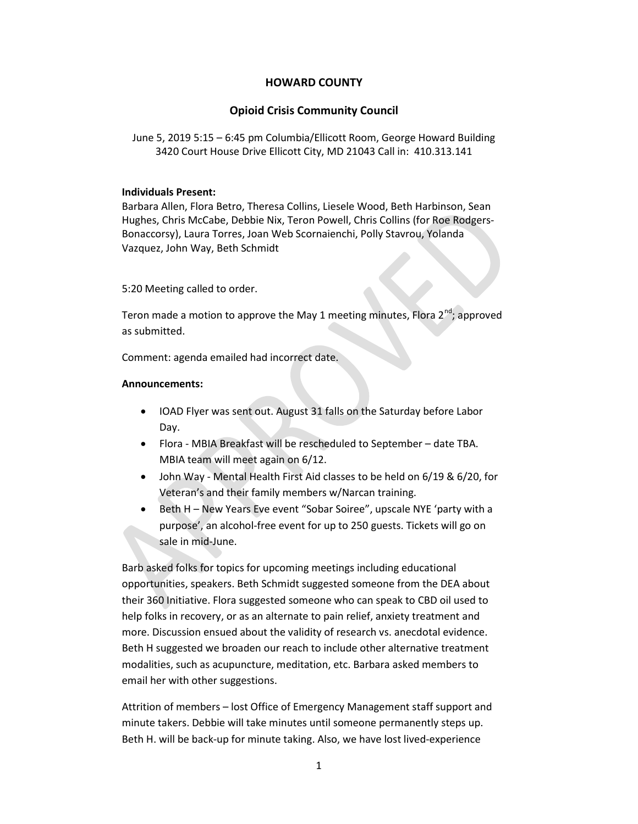# HOWARD COUNTY

# Opioid Crisis Community Council

June 5, 2019 5:15 – 6:45 pm Columbia/Ellicott Room, George Howard Building 3420 Court House Drive Ellicott City, MD 21043 Call in: 410.313.141

### Individuals Present:

Barbara Allen, Flora Betro, Theresa Collins, Liesele Wood, Beth Harbinson, Sean Hughes, Chris McCabe, Debbie Nix, Teron Powell, Chris Collins (for Roe Rodgers-Bonaccorsy), Laura Torres, Joan Web Scornaienchi, Polly Stavrou, Yolanda Vazquez, John Way, Beth Schmidt

5:20 Meeting called to order.

Teron made a motion to approve the May 1 meeting minutes, Flora  $2^{nd}$ ; approved as submitted.

Comment: agenda emailed had incorrect date.

### Announcements:

- IOAD Flyer was sent out. August 31 falls on the Saturday before Labor Day.
- Flora MBIA Breakfast will be rescheduled to September date TBA. MBIA team will meet again on 6/12.
- John Way Mental Health First Aid classes to be held on 6/19 & 6/20, for Veteran's and their family members w/Narcan training.
- Beth H New Years Eve event "Sobar Soiree", upscale NYE 'party with a purpose', an alcohol-free event for up to 250 guests. Tickets will go on sale in mid-June.

Barb asked folks for topics for upcoming meetings including educational opportunities, speakers. Beth Schmidt suggested someone from the DEA about their 360 Initiative. Flora suggested someone who can speak to CBD oil used to help folks in recovery, or as an alternate to pain relief, anxiety treatment and more. Discussion ensued about the validity of research vs. anecdotal evidence. Beth H suggested we broaden our reach to include other alternative treatment modalities, such as acupuncture, meditation, etc. Barbara asked members to email her with other suggestions.

Attrition of members – lost Office of Emergency Management staff support and minute takers. Debbie will take minutes until someone permanently steps up. Beth H. will be back-up for minute taking. Also, we have lost lived-experience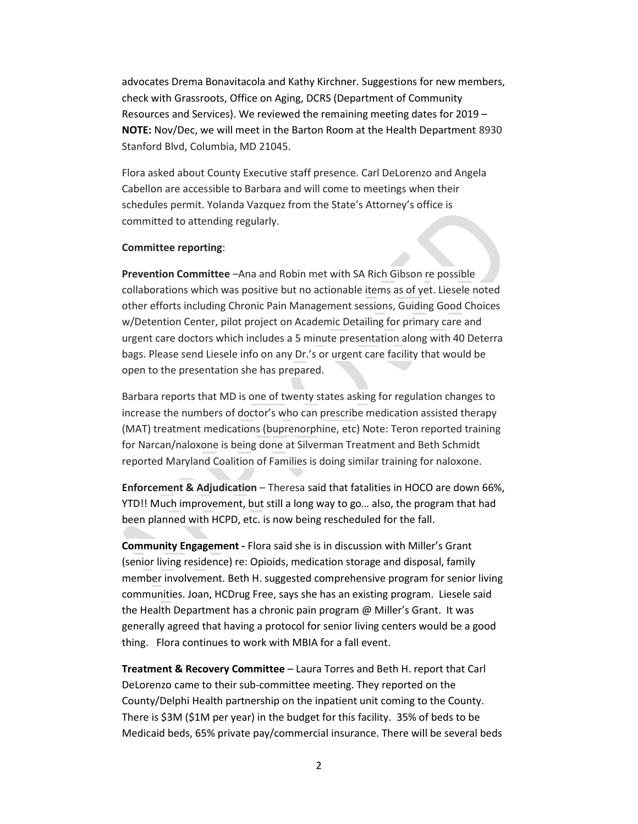advocates Drema Bonavitacola and Kathy Kirchner. Suggestions for new members, check with Grassroots, Office on Aging, DCRS (Department of Community Resources and Services). We reviewed the remaining meeting dates for 2019 – NOTE: Nov/Dec, we will meet in the Barton Room at the Health Department 8930 Stanford Blvd, Columbia, MD 21045.

Flora asked about County Executive staff presence. Carl DeLorenzo and Angela Cabellon are accessible to Barbara and will come to meetings when their schedules permit. Yolanda Vazquez from the State's Attorney's office is committed to attending regularly.

#### Committee reporting:

Prevention Committee –Ana and Robin met with SA Rich Gibson re possible collaborations which was positive but no actionable items as of yet. Liesele noted other efforts including Chronic Pain Management sessions, Guiding Good Choices w/Detention Center, pilot project on Academic Detailing for primary care and urgent care doctors which includes a 5 minute presentation along with 40 Deterra bags. Please send Liesele info on any Dr.'s or urgent care facility that would be open to the presentation she has prepared.

Barbara reports that MD is one of twenty states asking for regulation changes to increase the numbers of doctor's who can prescribe medication assisted therapy (MAT) treatment medications (buprenorphine, etc) Note: Teron reported training for Narcan/naloxone is being done at Silverman Treatment and Beth Schmidt reported Maryland Coalition of Families is doing similar training for naloxone.

Enforcement & Adjudication – Theresa said that fatalities in HOCO are down 66%, YTD!! Much improvement, but still a long way to go… also, the program that had been planned with HCPD, etc. is now being rescheduled for the fall.

Community Engagement - Flora said she is in discussion with Miller's Grant (senior living residence) re: Opioids, medication storage and disposal, family member involvement. Beth H. suggested comprehensive program for senior living communities. Joan, HCDrug Free, says she has an existing program. Liesele said the Health Department has a chronic pain program @ Miller's Grant. It was generally agreed that having a protocol for senior living centers would be a good thing. Flora continues to work with MBIA for a fall event.

Treatment & Recovery Committee – Laura Torres and Beth H. report that Carl DeLorenzo came to their sub-committee meeting. They reported on the County/Delphi Health partnership on the inpatient unit coming to the County. There is \$3M (\$1M per year) in the budget for this facility. 35% of beds to be Medicaid beds, 65% private pay/commercial insurance. There will be several beds